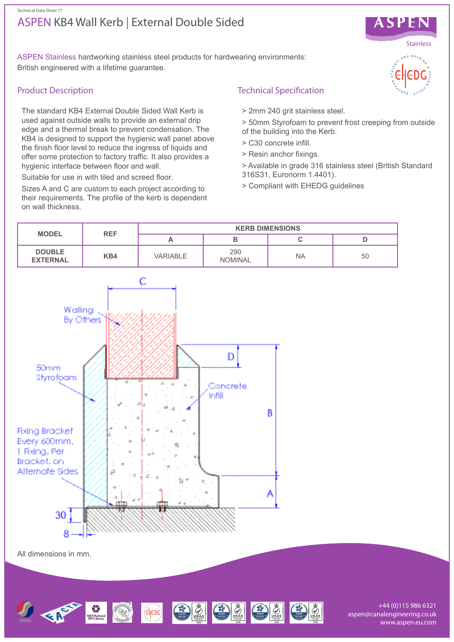# ASPEN KB4 Wall Kerb | External Double Sided Technical Data Sheet 77



ASPEN Stainless hardworking stainless steel products for hardwearing environments: British engineered with a lifetime guarantee.

# Product Description

The standard KB4 External Double Sided Wall Kerb is used against outside walls to provide an external drip edge and a thermal break to prevent condensation. The KB4 is designed to support the hygienic wall panel above the finish floor level to reduce the ingress of liquids and offer some protection to factory traffic. It also provides a hygienic interface between floor and wall.

Suitable for use in with tiled and screed floor.

Sizes A and C are custom to each project according to their requirements. The profile of the kerb is dependent on wall thickness.

# Technical Specification

- > 2mm 240 grit stainless steel.
- > 50mm Styrofoam to prevent frost creeping from outside
- of the building into the Kerb. > C30 concrete infill.
- > Resin anchor fixings.
- > Available in grade 316 stainless steel (British Standard 316S31, Euronorm 1.4401).
- > Compliant with EHEDG guidelines



aspen@canalengineering.co.uk www.aspen.eu.com